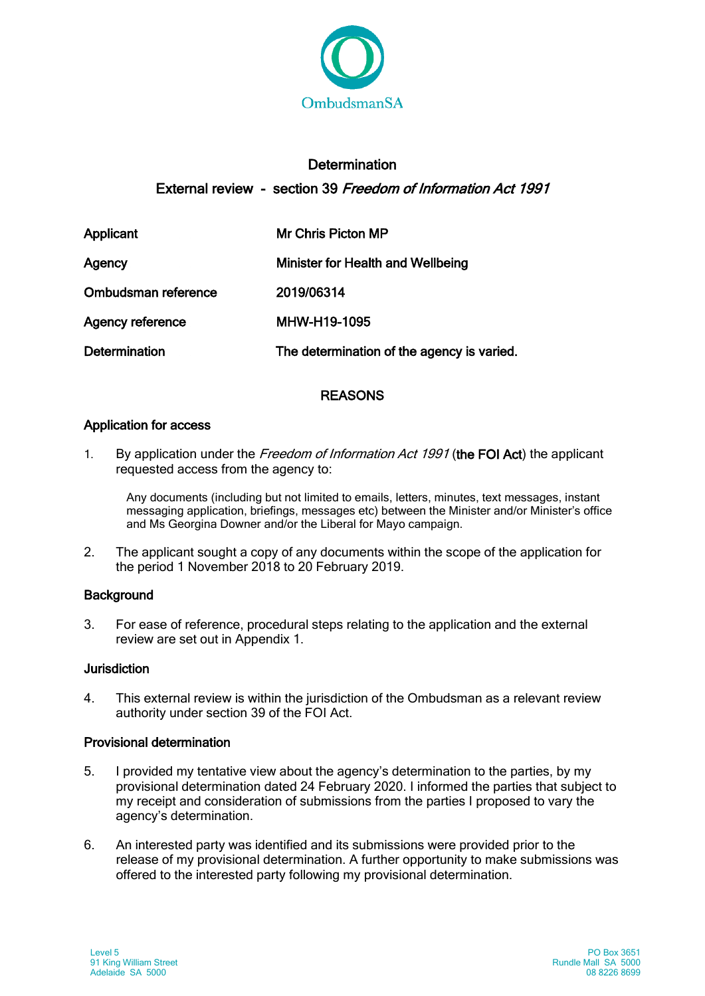

# **Determination** External review - section 39 Freedom of Information Act 1991

| Applicant               | Mr Chris Picton MP                         |
|-------------------------|--------------------------------------------|
| Agency                  | <b>Minister for Health and Wellbeing</b>   |
| Ombudsman reference     | 2019/06314                                 |
| <b>Agency reference</b> | MHW-H19-1095                               |
| <b>Determination</b>    | The determination of the agency is varied. |

# **REASONS**

## Application for access

1. By application under the Freedom of Information Act 1991 (the FOI Act) the applicant requested access from the agency to:

Any documents (including but not limited to emails, letters, minutes, text messages, instant messaging application, briefings, messages etc) between the Minister and/or Minister's office and Ms Georgina Downer and/or the Liberal for Mayo campaign.

2. The applicant sought a copy of any documents within the scope of the application for the period 1 November 2018 to 20 February 2019.

## **Background**

3. For ease of reference, procedural steps relating to the application and the external review are set out in Appendix 1.

### Jurisdiction

4. This external review is within the jurisdiction of the Ombudsman as a relevant review authority under section 39 of the FOI Act.

## Provisional determination

- 5. I provided my tentative view about the agency's determination to the parties, by my provisional determination dated 24 February 2020. I informed the parties that subject to my receipt and consideration of submissions from the parties I proposed to vary the agency's determination.
- 6. An interested party was identified and its submissions were provided prior to the release of my provisional determination. A further opportunity to make submissions was offered to the interested party following my provisional determination.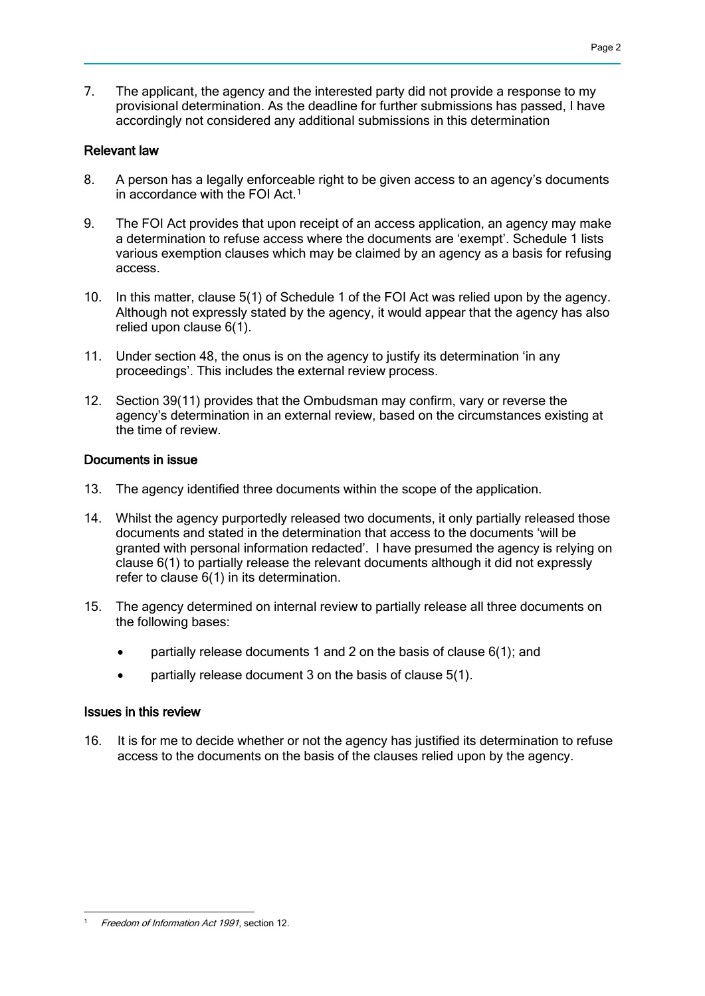7. The applicant, the agency and the interested party did not provide a response to my provisional determination. As the deadline for further submissions has passed, I have accordingly not considered any additional submissions in this determination

### Relevant law

- 8. A person has a legally enforceable right to be given access to an agency's documents in accordance with the FOI Act.<sup>[1](#page-1-0)</sup>
- 9. The FOI Act provides that upon receipt of an access application, an agency may make a determination to refuse access where the documents are 'exempt'. Schedule 1 lists various exemption clauses which may be claimed by an agency as a basis for refusing access.
- 10. In this matter, clause 5(1) of Schedule 1 of the FOI Act was relied upon by the agency. Although not expressly stated by the agency, it would appear that the agency has also relied upon clause 6(1).
- 11. Under section 48, the onus is on the agency to justify its determination 'in any proceedings'. This includes the external review process.
- 12. Section 39(11) provides that the Ombudsman may confirm, vary or reverse the agency's determination in an external review, based on the circumstances existing at the time of review.

### Documents in issue

- 13. The agency identified three documents within the scope of the application.
- 14. Whilst the agency purportedly released two documents, it only partially released those documents and stated in the determination that access to the documents 'will be granted with personal information redacted'. I have presumed the agency is relying on clause 6(1) to partially release the relevant documents although it did not expressly refer to clause 6(1) in its determination.
- 15. The agency determined on internal review to partially release all three documents on the following bases:
	- partially release documents 1 and 2 on the basis of clause 6(1); and
	- partially release document 3 on the basis of clause 5(1).

#### Issues in this review

16. It is for me to decide whether or not the agency has justified its determination to refuse access to the documents on the basis of the clauses relied upon by the agency.

<span id="page-1-0"></span><sup>-</sup>Freedom of Information Act 1991, section 12.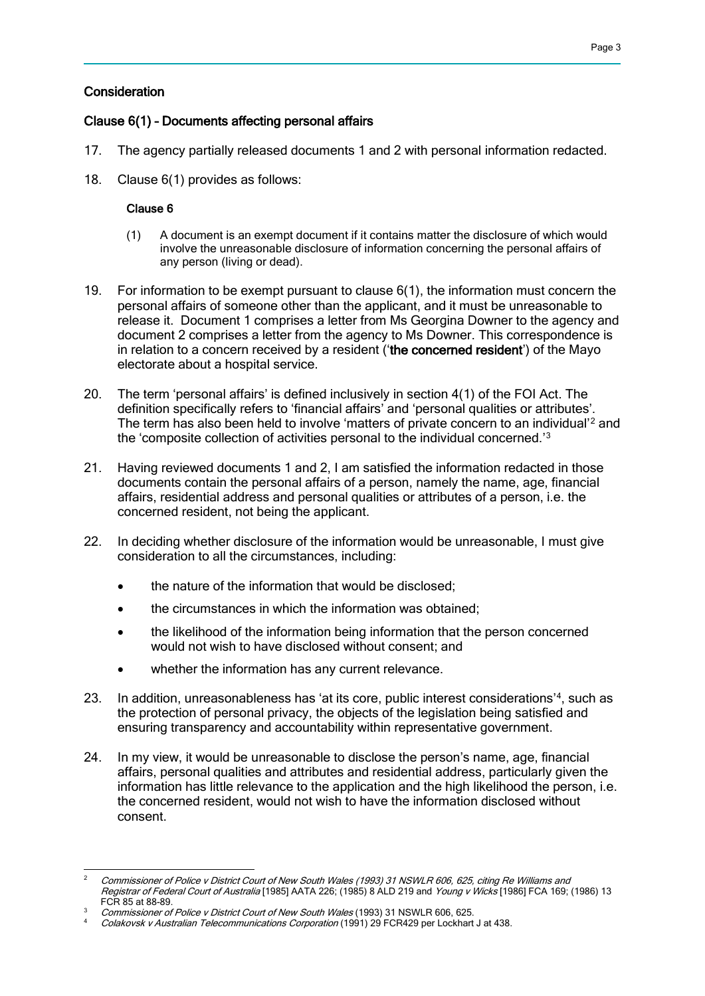### **Consideration**

#### Clause 6(1) – Documents affecting personal affairs

- 17. The agency partially released documents 1 and 2 with personal information redacted.
- 18. Clause 6(1) provides as follows:

#### Clause 6

- (1) A document is an exempt document if it contains matter the disclosure of which would involve the unreasonable disclosure of information concerning the personal affairs of any person (living or dead).
- 19. For information to be exempt pursuant to clause 6(1), the information must concern the personal affairs of someone other than the applicant, and it must be unreasonable to release it. Document 1 comprises a letter from Ms Georgina Downer to the agency and document 2 comprises a letter from the agency to Ms Downer. This correspondence is in relation to a concern received by a resident ('the concerned resident') of the Mayo electorate about a hospital service.
- 20. The term 'personal affairs' is defined inclusively in section 4(1) of the FOI Act. The definition specifically refers to 'financial affairs' and 'personal qualities or attributes'. The term has also been held to involve 'matters of private concern to an individual'[2](#page-2-0) and the 'composite collection of activities personal to the individual concerned.'[3](#page-2-1)
- 21. Having reviewed documents 1 and 2, I am satisfied the information redacted in those documents contain the personal affairs of a person, namely the name, age, financial affairs, residential address and personal qualities or attributes of a person, i.e. the concerned resident, not being the applicant.
- 22. In deciding whether disclosure of the information would be unreasonable, I must give consideration to all the circumstances, including:
	- the nature of the information that would be disclosed;
	- the circumstances in which the information was obtained;
	- the likelihood of the information being information that the person concerned would not wish to have disclosed without consent; and
	- whether the information has any current relevance.
- 23. In addition, unreasonableness has 'at its core, public interest considerations'<sup>[4](#page-2-2)</sup>, such as the protection of personal privacy, the objects of the legislation being satisfied and ensuring transparency and accountability within representative government.
- 24. In my view, it would be unreasonable to disclose the person's name, age, financial affairs, personal qualities and attributes and residential address, particularly given the information has little relevance to the application and the high likelihood the person, i.e. the concerned resident, would not wish to have the information disclosed without consent.

<span id="page-2-0"></span> $\mathcal{L}$ <sup>2</sup> Commissioner of Police v District Court of New South Wales (1993) 31 NSWLR 606, 625, citing Re Williams and Registrar of Federal Court of Australia [1985] AATA 226; (1985) 8 ALD 219 and Young v Wicks [1986] FCA 169; (1986) 13 FCR 85 at 88-89.

<span id="page-2-1"></span>Commissioner of Police v District Court of New South Wales (1993) 31 NSWLR 606, 625.

<span id="page-2-2"></span>Colakovsk v Australian Telecommunications Corporation (1991) 29 FCR429 per Lockhart J at 438.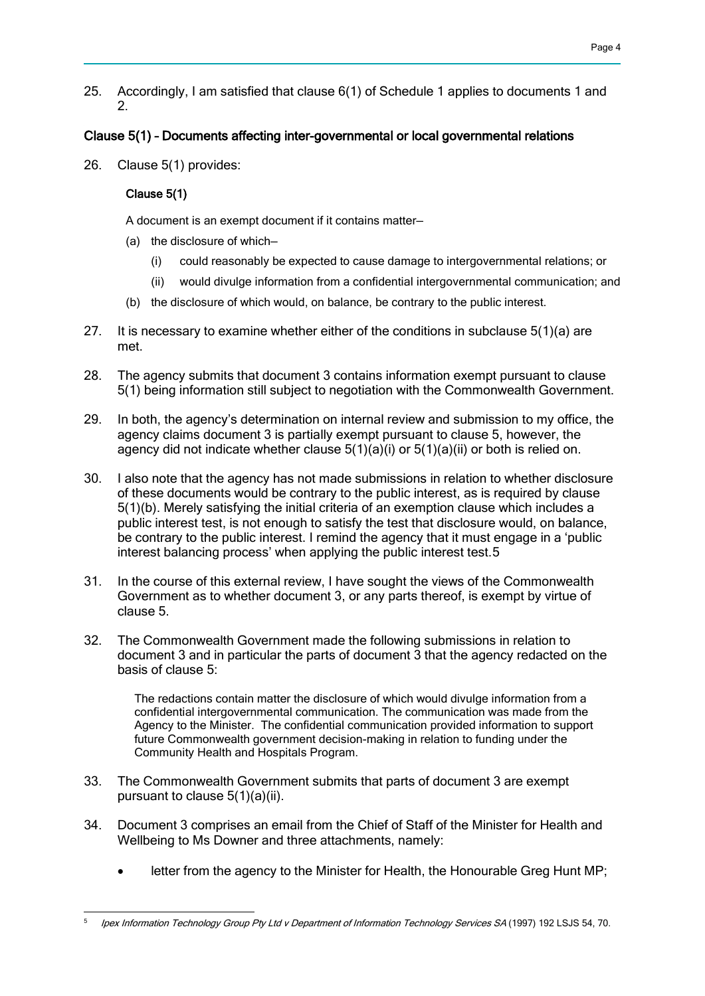25. Accordingly, I am satisfied that clause 6(1) of Schedule 1 applies to documents 1 and 2.

# Clause 5(1) – Documents affecting inter-governmental or local governmental relations

26. Clause 5(1) provides:

## Clause 5(1)

A document is an exempt document if it contains matter—

- (a) the disclosure of which—
	- (i) could reasonably be expected to cause damage to intergovernmental relations; or
	- (ii) would divulge information from a confidential intergovernmental communication; and
- (b) the disclosure of which would, on balance, be contrary to the public interest.
- 27. It is necessary to examine whether either of the conditions in subclause  $5(1)(a)$  are met.
- 28. The agency submits that document 3 contains information exempt pursuant to clause 5(1) being information still subject to negotiation with the Commonwealth Government.
- 29. In both, the agency's determination on internal review and submission to my office, the agency claims document 3 is partially exempt pursuant to clause 5, however, the agency did not indicate whether clause 5(1)(a)(i) or 5(1)(a)(ii) or both is relied on.
- 30. I also note that the agency has not made submissions in relation to whether disclosure of these documents would be contrary to the public interest, as is required by clause 5(1)(b). Merely satisfying the initial criteria of an exemption clause which includes a public interest test, is not enough to satisfy the test that disclosure would, on balance, be contrary to the public interest. I remind the agency that it must engage in a 'public interest balancing process' when applying the public interest test.[5](#page-3-0)
- 31. In the course of this external review, I have sought the views of the Commonwealth Government as to whether document 3, or any parts thereof, is exempt by virtue of clause 5.
- 32. The Commonwealth Government made the following submissions in relation to document 3 and in particular the parts of document 3 that the agency redacted on the basis of clause 5:

The redactions contain matter the disclosure of which would divulge information from a confidential intergovernmental communication. The communication was made from the Agency to the Minister. The confidential communication provided information to support future Commonwealth government decision-making in relation to funding under the Community Health and Hospitals Program.

- 33. The Commonwealth Government submits that parts of document 3 are exempt pursuant to clause 5(1)(a)(ii).
- 34. Document 3 comprises an email from the Chief of Staff of the Minister for Health and Wellbeing to Ms Downer and three attachments, namely:
	- letter from the agency to the Minister for Health, the Honourable Greg Hunt MP;

<span id="page-3-0"></span><sup>-</sup>Ipex Information Technology Group Pty Ltd v Department of Information Technology Services SA (1997) 192 LSJS 54, 70.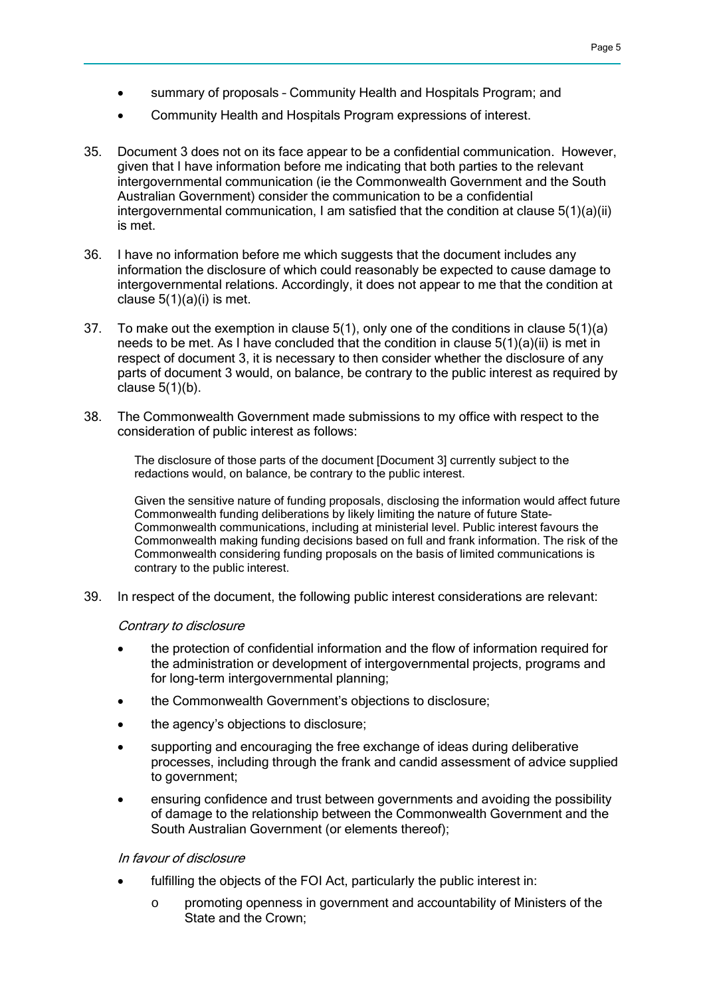- summary of proposals Community Health and Hospitals Program; and
- Community Health and Hospitals Program expressions of interest.
- 35. Document 3 does not on its face appear to be a confidential communication. However, given that I have information before me indicating that both parties to the relevant intergovernmental communication (ie the Commonwealth Government and the South Australian Government) consider the communication to be a confidential intergovernmental communication, I am satisfied that the condition at clause 5(1)(a)(ii) is met.
- 36. I have no information before me which suggests that the document includes any information the disclosure of which could reasonably be expected to cause damage to intergovernmental relations. Accordingly, it does not appear to me that the condition at clause  $5(1)(a)(i)$  is met.
- 37. To make out the exemption in clause 5(1), only one of the conditions in clause 5(1)(a) needs to be met. As I have concluded that the condition in clause 5(1)(a)(ii) is met in respect of document 3, it is necessary to then consider whether the disclosure of any parts of document 3 would, on balance, be contrary to the public interest as required by clause 5(1)(b).
- 38. The Commonwealth Government made submissions to my office with respect to the consideration of public interest as follows:

The disclosure of those parts of the document [Document 3] currently subject to the redactions would, on balance, be contrary to the public interest.

Given the sensitive nature of funding proposals, disclosing the information would affect future Commonwealth funding deliberations by likely limiting the nature of future State-Commonwealth communications, including at ministerial level. Public interest favours the Commonwealth making funding decisions based on full and frank information. The risk of the Commonwealth considering funding proposals on the basis of limited communications is contrary to the public interest.

39. In respect of the document, the following public interest considerations are relevant:

#### Contrary to disclosure

- the protection of confidential information and the flow of information required for the administration or development of intergovernmental projects, programs and for long-term intergovernmental planning;
- the Commonwealth Government's objections to disclosure;
- the agency's objections to disclosure;
- supporting and encouraging the free exchange of ideas during deliberative processes, including through the frank and candid assessment of advice supplied to government;
- ensuring confidence and trust between governments and avoiding the possibility of damage to the relationship between the Commonwealth Government and the South Australian Government (or elements thereof);

#### In favour of disclosure

- fulfilling the objects of the FOI Act, particularly the public interest in:
	- o promoting openness in government and accountability of Ministers of the State and the Crown;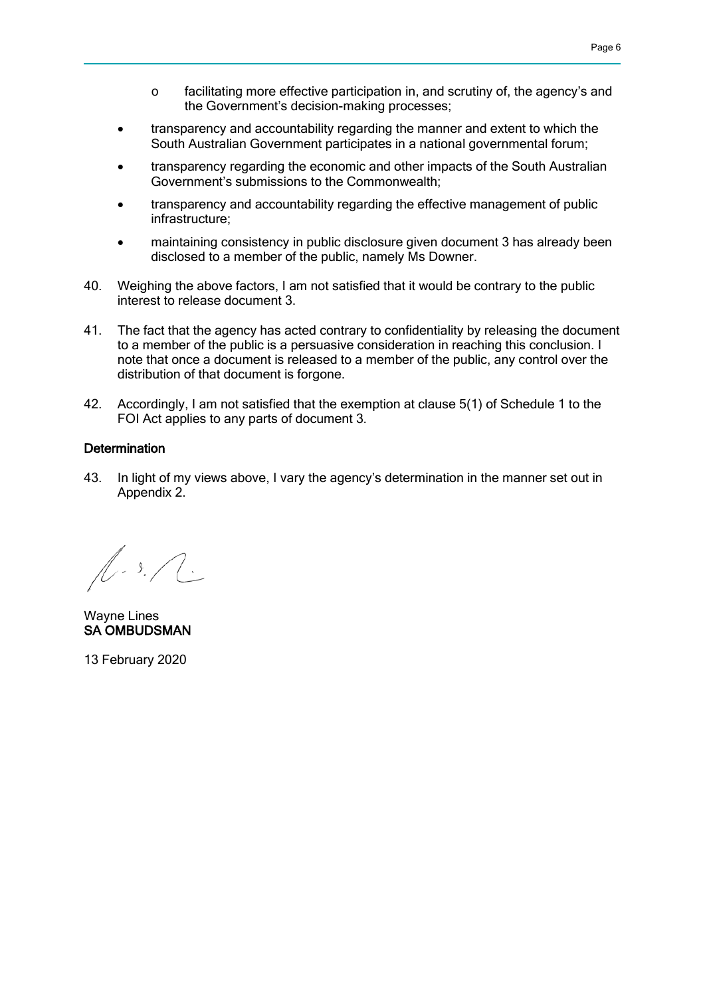- o facilitating more effective participation in, and scrutiny of, the agency's and the Government's decision-making processes;
- transparency and accountability regarding the manner and extent to which the South Australian Government participates in a national governmental forum;
- transparency regarding the economic and other impacts of the South Australian Government's submissions to the Commonwealth;
- transparency and accountability regarding the effective management of public infrastructure;
- maintaining consistency in public disclosure given document 3 has already been disclosed to a member of the public, namely Ms Downer.
- 40. Weighing the above factors, I am not satisfied that it would be contrary to the public interest to release document 3.
- 41. The fact that the agency has acted contrary to confidentiality by releasing the document to a member of the public is a persuasive consideration in reaching this conclusion. I note that once a document is released to a member of the public, any control over the distribution of that document is forgone.
- 42. Accordingly, I am not satisfied that the exemption at clause 5(1) of Schedule 1 to the FOI Act applies to any parts of document 3.

#### **Determination**

43. In light of my views above, I vary the agency's determination in the manner set out in Appendix 2.

 $\sqrt{1.3}$ .

Wayne Lines SA OMBUDSMAN

13 February 2020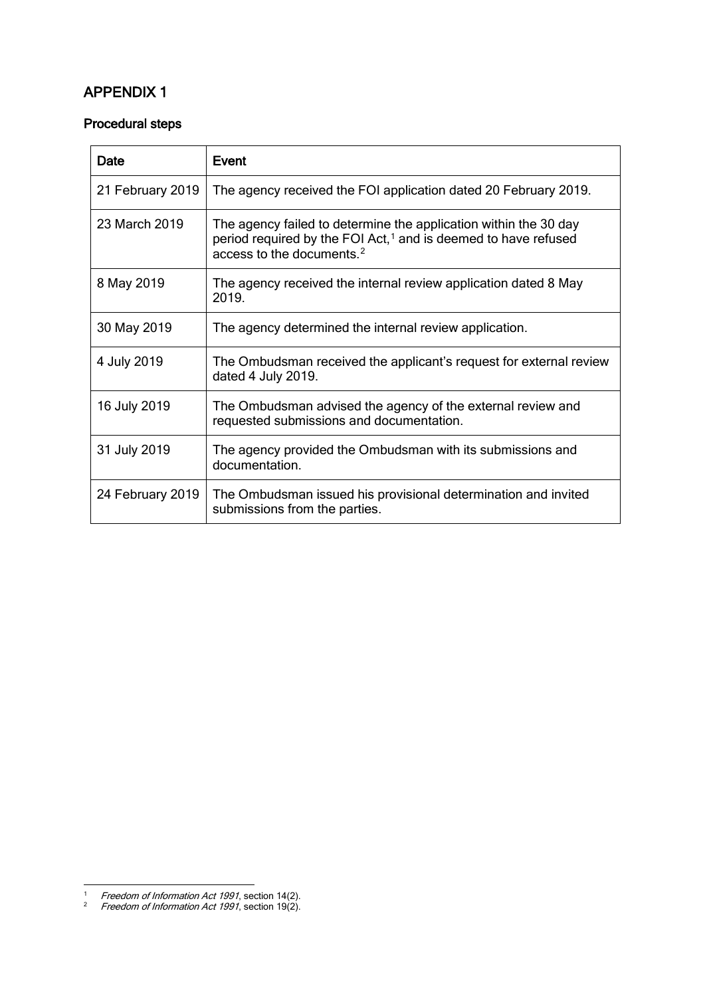# APPENDIX 1

## Procedural steps

| Date             | Event                                                                                                                                                                                   |
|------------------|-----------------------------------------------------------------------------------------------------------------------------------------------------------------------------------------|
| 21 February 2019 | The agency received the FOI application dated 20 February 2019.                                                                                                                         |
| 23 March 2019    | The agency failed to determine the application within the 30 day<br>period required by the FOI Act, <sup>1</sup> and is deemed to have refused<br>access to the documents. <sup>2</sup> |
| 8 May 2019       | The agency received the internal review application dated 8 May<br>2019.                                                                                                                |
| 30 May 2019      | The agency determined the internal review application.                                                                                                                                  |
| 4 July 2019      | The Ombudsman received the applicant's request for external review<br>dated 4 July 2019.                                                                                                |
| 16 July 2019     | The Ombudsman advised the agency of the external review and<br>requested submissions and documentation.                                                                                 |
| 31 July 2019     | The agency provided the Ombudsman with its submissions and<br>documentation.                                                                                                            |
| 24 February 2019 | The Ombudsman issued his provisional determination and invited<br>submissions from the parties.                                                                                         |

 $\ddot{\phantom{a}}$ 

<span id="page-6-1"></span><span id="page-6-0"></span><sup>&</sup>lt;sup>1</sup> Freedom of Information Act 1991, section 14(2).

<sup>&</sup>lt;sup>2</sup> Freedom of Information Act 1991, section 19(2).